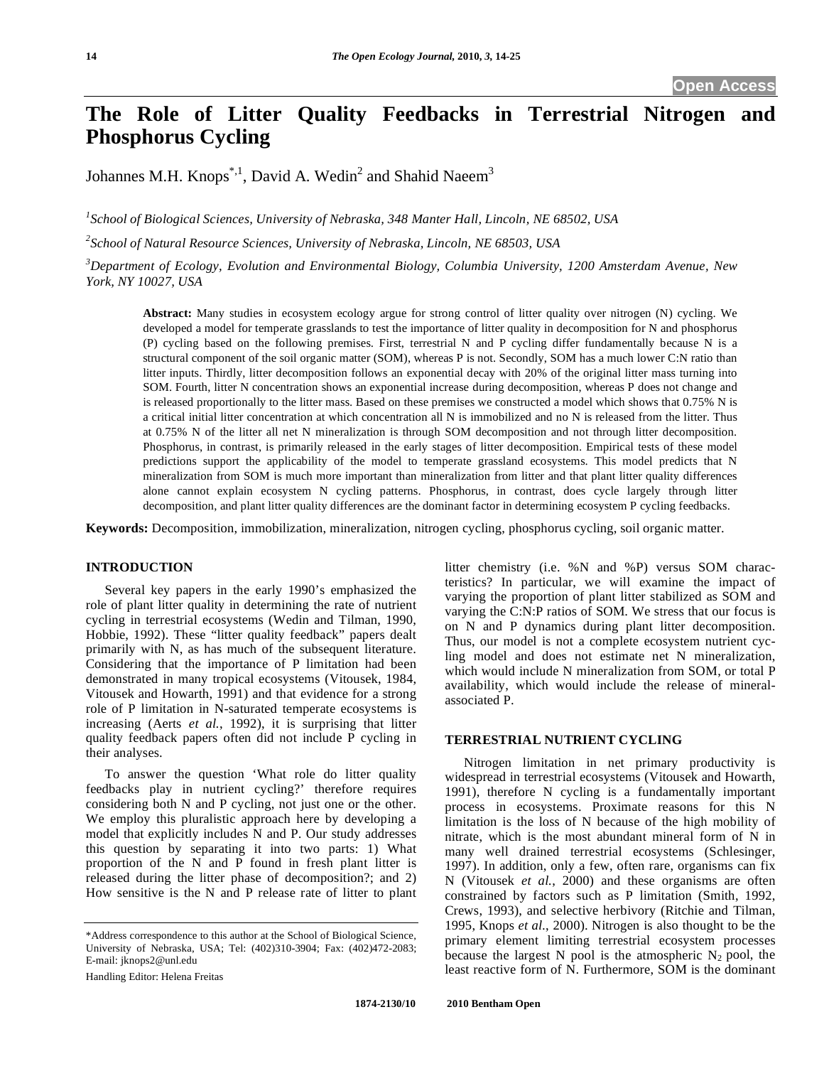# **The Role of Litter Quality Feedbacks in Terrestrial Nitrogen and Phosphorus Cycling**

Johannes M.H. Knops<sup>\*,1</sup>, David A. Wedin<sup>2</sup> and Shahid Naeem<sup>3</sup>

*1 School of Biological Sciences, University of Nebraska, 348 Manter Hall, Lincoln, NE 68502, USA* 

*2 School of Natural Resource Sciences, University of Nebraska, Lincoln, NE 68503, USA* 

*3 Department of Ecology, Evolution and Environmental Biology, Columbia University, 1200 Amsterdam Avenue, New York, NY 10027, USA* 

**Abstract:** Many studies in ecosystem ecology argue for strong control of litter quality over nitrogen (N) cycling. We developed a model for temperate grasslands to test the importance of litter quality in decomposition for N and phosphorus (P) cycling based on the following premises. First, terrestrial N and P cycling differ fundamentally because N is a structural component of the soil organic matter (SOM), whereas P is not. Secondly, SOM has a much lower C:N ratio than litter inputs. Thirdly, litter decomposition follows an exponential decay with 20% of the original litter mass turning into SOM. Fourth, litter N concentration shows an exponential increase during decomposition, whereas P does not change and is released proportionally to the litter mass. Based on these premises we constructed a model which shows that 0.75% N is a critical initial litter concentration at which concentration all N is immobilized and no N is released from the litter. Thus at 0.75% N of the litter all net N mineralization is through SOM decomposition and not through litter decomposition. Phosphorus, in contrast, is primarily released in the early stages of litter decomposition. Empirical tests of these model predictions support the applicability of the model to temperate grassland ecosystems. This model predicts that N mineralization from SOM is much more important than mineralization from litter and that plant litter quality differences alone cannot explain ecosystem N cycling patterns. Phosphorus, in contrast, does cycle largely through litter decomposition, and plant litter quality differences are the dominant factor in determining ecosystem P cycling feedbacks.

**Keywords:** Decomposition, immobilization, mineralization, nitrogen cycling, phosphorus cycling, soil organic matter.

# **INTRODUCTION**

 Several key papers in the early 1990's emphasized the role of plant litter quality in determining the rate of nutrient cycling in terrestrial ecosystems (Wedin and Tilman, 1990, Hobbie, 1992). These "litter quality feedback" papers dealt primarily with N, as has much of the subsequent literature. Considering that the importance of P limitation had been demonstrated in many tropical ecosystems (Vitousek, 1984, Vitousek and Howarth, 1991) and that evidence for a strong role of P limitation in N-saturated temperate ecosystems is increasing (Aerts *et al.*, 1992), it is surprising that litter quality feedback papers often did not include P cycling in their analyses.

 To answer the question 'What role do litter quality feedbacks play in nutrient cycling?' therefore requires considering both N and P cycling, not just one or the other. We employ this pluralistic approach here by developing a model that explicitly includes N and P. Our study addresses this question by separating it into two parts: 1) What proportion of the N and P found in fresh plant litter is released during the litter phase of decomposition?; and 2) How sensitive is the N and P release rate of litter to plant

litter chemistry (i.e. %N and %P) versus SOM characteristics? In particular, we will examine the impact of varying the proportion of plant litter stabilized as SOM and varying the C:N:P ratios of SOM. We stress that our focus is on N and P dynamics during plant litter decomposition. Thus, our model is not a complete ecosystem nutrient cycling model and does not estimate net N mineralization, which would include N mineralization from SOM, or total P availability, which would include the release of mineralassociated P.

## **TERRESTRIAL NUTRIENT CYCLING**

 Nitrogen limitation in net primary productivity is widespread in terrestrial ecosystems (Vitousek and Howarth, 1991), therefore N cycling is a fundamentally important process in ecosystems. Proximate reasons for this N limitation is the loss of N because of the high mobility of nitrate, which is the most abundant mineral form of N in many well drained terrestrial ecosystems (Schlesinger, 1997). In addition, only a few, often rare, organisms can fix N (Vitousek *et al.*, 2000) and these organisms are often constrained by factors such as P limitation (Smith, 1992, Crews, 1993), and selective herbivory (Ritchie and Tilman, 1995, Knops *et al.*, 2000). Nitrogen is also thought to be the primary element limiting terrestrial ecosystem processes because the largest N pool is the atmospheric  $N_2$  pool, the least reactive form of N. Furthermore, SOM is the dominant

<sup>\*</sup>Address correspondence to this author at the School of Biological Science, University of Nebraska, USA; Tel: (402)310-3904; Fax: (402)472-2083; E-mail: jknops2@unl.edu

Handling Editor: Helena Freitas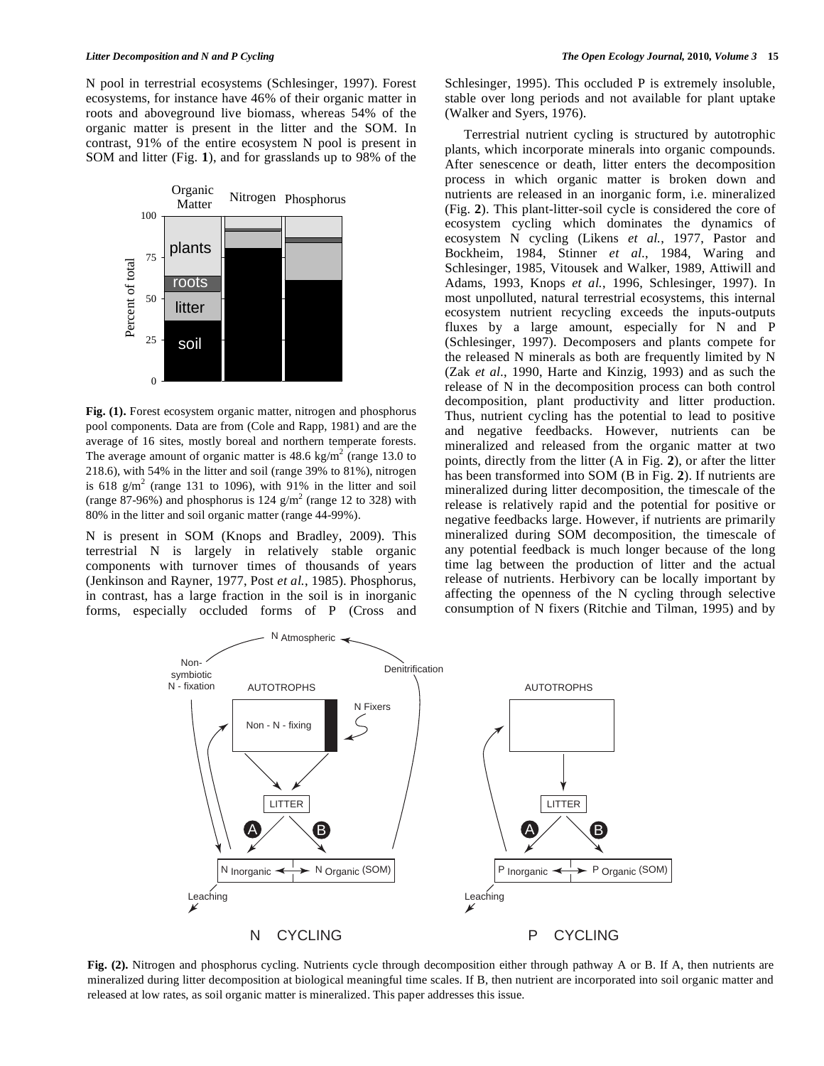N pool in terrestrial ecosystems (Schlesinger, 1997). Forest ecosystems, for instance have 46% of their organic matter in roots and aboveground live biomass, whereas 54% of the organic matter is present in the litter and the SOM. In contrast, 91% of the entire ecosystem N pool is present in SOM and litter (Fig. **1**), and for grasslands up to 98% of the



**Fig. (1).** Forest ecosystem organic matter, nitrogen and phosphorus pool components. Data are from (Cole and Rapp, 1981) and are the average of 16 sites, mostly boreal and northern temperate forests. The average amount of organic matter is  $48.6 \text{ kg/m}^2$  (range 13.0 to 218.6), with 54% in the litter and soil (range 39% to 81%), nitrogen is 618  $g/m^2$  (range 131 to 1096), with 91% in the litter and soil (range 87-96%) and phosphorus is 124  $\text{g/m}^2$  (range 12 to 328) with 80% in the litter and soil organic matter (range 44-99%).

N is present in SOM (Knops and Bradley, 2009). This terrestrial N is largely in relatively stable organic components with turnover times of thousands of years (Jenkinson and Rayner, 1977, Post *et al.*, 1985). Phosphorus, in contrast, has a large fraction in the soil is in inorganic forms, especially occluded forms of P (Cross and

Schlesinger, 1995). This occluded P is extremely insoluble, stable over long periods and not available for plant uptake (Walker and Syers, 1976).

 Terrestrial nutrient cycling is structured by autotrophic plants, which incorporate minerals into organic compounds. After senescence or death, litter enters the decomposition process in which organic matter is broken down and nutrients are released in an inorganic form, i.e. mineralized (Fig. **2**). This plant-litter-soil cycle is considered the core of ecosystem cycling which dominates the dynamics of ecosystem N cycling (Likens *et al.*, 1977, Pastor and Bockheim, 1984, Stinner *et al.*, 1984, Waring and Schlesinger, 1985, Vitousek and Walker, 1989, Attiwill and Adams, 1993, Knops *et al.*, 1996, Schlesinger, 1997). In most unpolluted, natural terrestrial ecosystems, this internal ecosystem nutrient recycling exceeds the inputs-outputs fluxes by a large amount, especially for N and P (Schlesinger, 1997). Decomposers and plants compete for the released N minerals as both are frequently limited by N (Zak *et al.*, 1990, Harte and Kinzig, 1993) and as such the release of N in the decomposition process can both control decomposition, plant productivity and litter production. Thus, nutrient cycling has the potential to lead to positive and negative feedbacks. However, nutrients can be mineralized and released from the organic matter at two points, directly from the litter (A in Fig. **2**), or after the litter has been transformed into SOM (B in Fig. **2**). If nutrients are mineralized during litter decomposition, the timescale of the release is relatively rapid and the potential for positive or negative feedbacks large. However, if nutrients are primarily mineralized during SOM decomposition, the timescale of any potential feedback is much longer because of the long time lag between the production of litter and the actual release of nutrients. Herbivory can be locally important by affecting the openness of the N cycling through selective consumption of N fixers (Ritchie and Tilman, 1995) and by



**Fig. (2).** Nitrogen and phosphorus cycling. Nutrients cycle through decomposition either through pathway A or B. If A, then nutrients are mineralized during litter decomposition at biological meaningful time scales. If B, then nutrient are incorporated into soil organic matter and released at low rates, as soil organic matter is mineralized. This paper addresses this issue.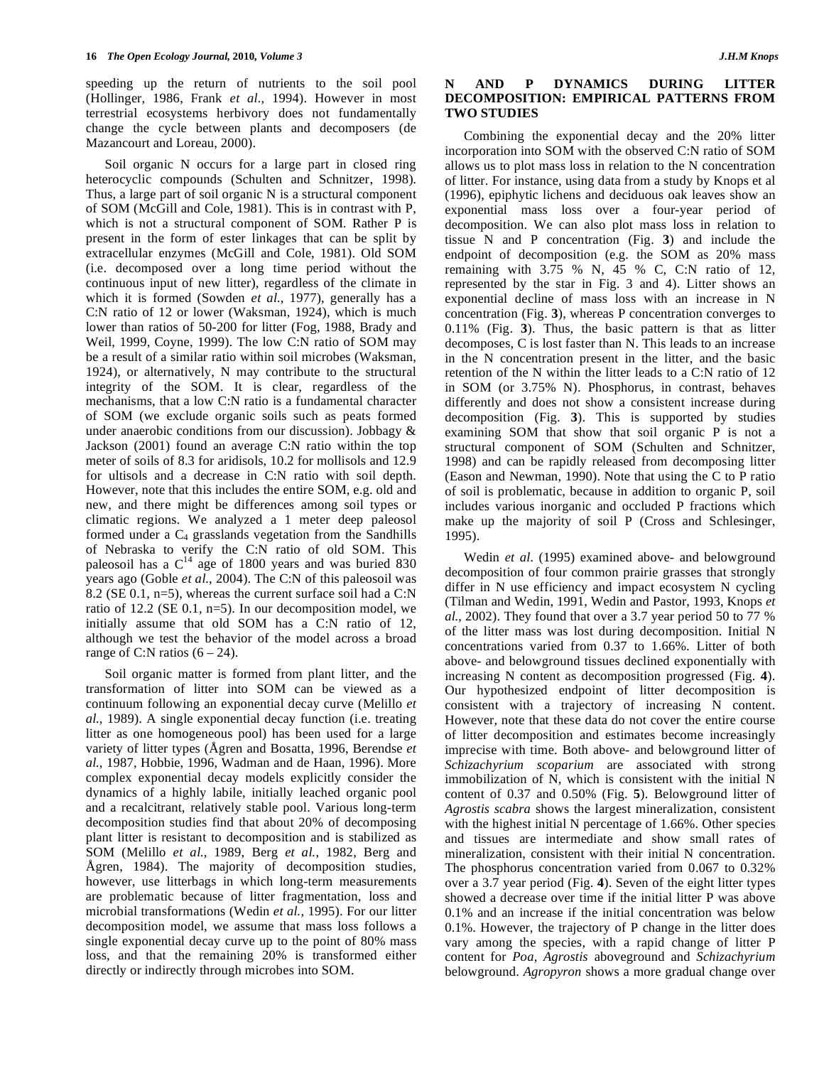speeding up the return of nutrients to the soil pool (Hollinger, 1986, Frank *et al.*, 1994). However in most terrestrial ecosystems herbivory does not fundamentally change the cycle between plants and decomposers (de Mazancourt and Loreau, 2000).

 Soil organic N occurs for a large part in closed ring heterocyclic compounds (Schulten and Schnitzer, 1998). Thus, a large part of soil organic N is a structural component of SOM (McGill and Cole, 1981). This is in contrast with P, which is not a structural component of SOM. Rather P is present in the form of ester linkages that can be split by extracellular enzymes (McGill and Cole, 1981). Old SOM (i.e. decomposed over a long time period without the continuous input of new litter), regardless of the climate in which it is formed (Sowden *et al.*, 1977), generally has a C:N ratio of 12 or lower (Waksman, 1924), which is much lower than ratios of 50-200 for litter (Fog, 1988, Brady and Weil, 1999, Coyne, 1999). The low C:N ratio of SOM may be a result of a similar ratio within soil microbes (Waksman, 1924), or alternatively, N may contribute to the structural integrity of the SOM. It is clear, regardless of the mechanisms, that a low C:N ratio is a fundamental character of SOM (we exclude organic soils such as peats formed under anaerobic conditions from our discussion). Jobbagy & Jackson (2001) found an average C:N ratio within the top meter of soils of 8.3 for aridisols, 10.2 for mollisols and 12.9 for ultisols and a decrease in C:N ratio with soil depth. However, note that this includes the entire SOM, e.g. old and new, and there might be differences among soil types or climatic regions. We analyzed a 1 meter deep paleosol formed under a  $C_4$  grasslands vegetation from the Sandhills of Nebraska to verify the C:N ratio of old SOM. This paleosoil has a  $C^{14}$  age of 1800 years and was buried 830 years ago (Goble *et al.*, 2004). The C:N of this paleosoil was 8.2 (SE 0.1, n=5), whereas the current surface soil had a C:N ratio of 12.2 (SE 0.1, n=5). In our decomposition model, we initially assume that old SOM has a C:N ratio of 12, although we test the behavior of the model across a broad range of C:N ratios  $(6 – 24)$ .

 Soil organic matter is formed from plant litter, and the transformation of litter into SOM can be viewed as a continuum following an exponential decay curve (Melillo *et al.*, 1989). A single exponential decay function (i.e. treating litter as one homogeneous pool) has been used for a large variety of litter types (Ågren and Bosatta, 1996, Berendse *et al.*, 1987, Hobbie, 1996, Wadman and de Haan, 1996). More complex exponential decay models explicitly consider the dynamics of a highly labile, initially leached organic pool and a recalcitrant, relatively stable pool. Various long-term decomposition studies find that about 20% of decomposing plant litter is resistant to decomposition and is stabilized as SOM (Melillo *et al.*, 1989, Berg *et al.*, 1982, Berg and Ågren, 1984). The majority of decomposition studies, however, use litterbags in which long-term measurements are problematic because of litter fragmentation, loss and microbial transformations (Wedin *et al.*, 1995). For our litter decomposition model, we assume that mass loss follows a single exponential decay curve up to the point of 80% mass loss, and that the remaining 20% is transformed either directly or indirectly through microbes into SOM.

# **N AND P DYNAMICS DURING LITTER DECOMPOSITION: EMPIRICAL PATTERNS FROM TWO STUDIES**

 Combining the exponential decay and the 20% litter incorporation into SOM with the observed C:N ratio of SOM allows us to plot mass loss in relation to the N concentration of litter. For instance, using data from a study by Knops et al (1996), epiphytic lichens and deciduous oak leaves show an exponential mass loss over a four-year period of decomposition. We can also plot mass loss in relation to tissue N and P concentration (Fig. **3**) and include the endpoint of decomposition (e.g. the SOM as 20% mass remaining with  $3.\overline{75}$  % N,  $45$  % C, C:N ratio of 12, represented by the star in Fig. 3 and 4). Litter shows an exponential decline of mass loss with an increase in N concentration (Fig. **3**), whereas P concentration converges to 0.11% (Fig. **3**). Thus, the basic pattern is that as litter decomposes, C is lost faster than N. This leads to an increase in the N concentration present in the litter, and the basic retention of the N within the litter leads to a C:N ratio of 12 in SOM (or 3.75% N). Phosphorus, in contrast, behaves differently and does not show a consistent increase during decomposition (Fig. **3**). This is supported by studies examining SOM that show that soil organic P is not a structural component of SOM (Schulten and Schnitzer, 1998) and can be rapidly released from decomposing litter (Eason and Newman, 1990). Note that using the C to P ratio of soil is problematic, because in addition to organic P, soil includes various inorganic and occluded P fractions which make up the majority of soil P (Cross and Schlesinger, 1995).

 Wedin *et al.* (1995) examined above- and belowground decomposition of four common prairie grasses that strongly differ in N use efficiency and impact ecosystem N cycling (Tilman and Wedin, 1991, Wedin and Pastor, 1993, Knops *et al.*, 2002). They found that over a 3.7 year period 50 to 77 % of the litter mass was lost during decomposition. Initial N concentrations varied from 0.37 to 1.66%. Litter of both above- and belowground tissues declined exponentially with increasing N content as decomposition progressed (Fig. **4**). Our hypothesized endpoint of litter decomposition is consistent with a trajectory of increasing N content. However, note that these data do not cover the entire course of litter decomposition and estimates become increasingly imprecise with time. Both above- and belowground litter of *Schizachyrium scoparium* are associated with strong immobilization of N, which is consistent with the initial N content of 0.37 and 0.50% (Fig. **5**). Belowground litter of *Agrostis scabra* shows the largest mineralization, consistent with the highest initial N percentage of 1.66%. Other species and tissues are intermediate and show small rates of mineralization, consistent with their initial N concentration. The phosphorus concentration varied from 0.067 to 0.32% over a 3.7 year period (Fig. **4**). Seven of the eight litter types showed a decrease over time if the initial litter P was above 0.1% and an increase if the initial concentration was below 0.1%. However, the trajectory of P change in the litter does vary among the species, with a rapid change of litter P content for *Poa*, *Agrostis* aboveground and *Schizachyrium* belowground. *Agropyron* shows a more gradual change over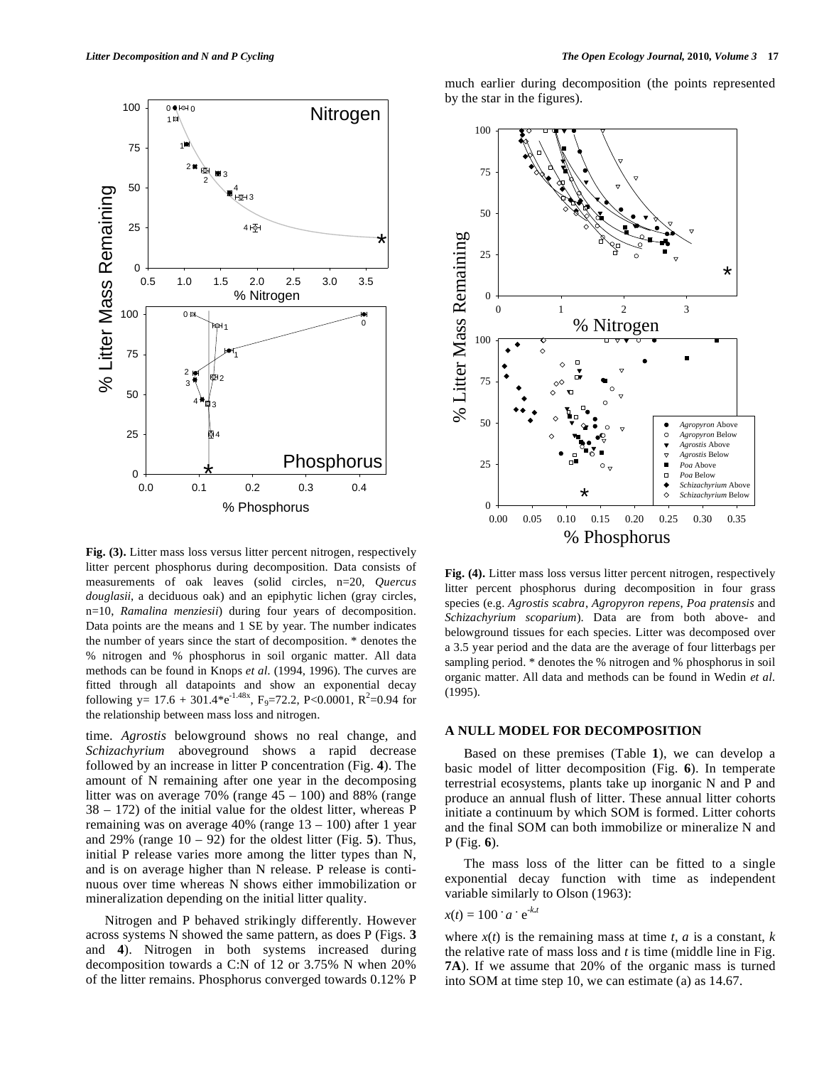

**Fig. (3).** Litter mass loss versus litter percent nitrogen, respectively litter percent phosphorus during decomposition. Data consists of measurements of oak leaves (solid circles, n=20, *Quercus douglasii*, a deciduous oak) and an epiphytic lichen (gray circles, n=10, *Ramalina menziesii*) during four years of decomposition. Data points are the means and 1 SE by year. The number indicates the number of years since the start of decomposition. \* denotes the % nitrogen and % phosphorus in soil organic matter. All data methods can be found in Knops *et al.* (1994, 1996). The curves are fitted through all datapoints and show an exponential decay following y=  $17.6 + 301.4*e^{-1.48x}$ , F<sub>9</sub>=72.2, P<0.0001, R<sup>2</sup>=0.94 for the relationship between mass loss and nitrogen.

time. *Agrostis* belowground shows no real change, and *Schizachyrium* aboveground shows a rapid decrease followed by an increase in litter P concentration (Fig. **4**). The amount of N remaining after one year in the decomposing litter was on average  $70\%$  (range  $45 - 100$ ) and 88% (range 38 – 172) of the initial value for the oldest litter, whereas P remaining was on average 40% (range 13 – 100) after 1 year and 29% (range 10 – 92) for the oldest litter (Fig. **5**). Thus, initial P release varies more among the litter types than N, and is on average higher than N release. P release is continuous over time whereas N shows either immobilization or mineralization depending on the initial litter quality.

 Nitrogen and P behaved strikingly differently. However across systems N showed the same pattern, as does P (Figs. **3** and **4**). Nitrogen in both systems increased during decomposition towards a C:N of 12 or 3.75% N when 20% of the litter remains. Phosphorus converged towards 0.12% P much earlier during decomposition (the points represented by the star in the figures).



**Fig. (4).** Litter mass loss versus litter percent nitrogen, respectively litter percent phosphorus during decomposition in four grass species (e.g. *Agrostis scabra*, *Agropyron repens*, *Poa pratensis* and *Schizachyrium scoparium*). Data are from both above- and belowground tissues for each species. Litter was decomposed over a 3.5 year period and the data are the average of four litterbags per sampling period. \* denotes the % nitrogen and % phosphorus in soil organic matter. All data and methods can be found in Wedin *et al.* (1995).

#### **A NULL MODEL FOR DECOMPOSITION**

 Based on these premises (Table **1**), we can develop a basic model of litter decomposition (Fig. **6**). In temperate terrestrial ecosystems, plants take up inorganic N and P and produce an annual flush of litter. These annual litter cohorts initiate a continuum by which SOM is formed. Litter cohorts and the final SOM can both immobilize or mineralize N and P (Fig. **6**).

 The mass loss of the litter can be fitted to a single exponential decay function with time as independent variable similarly to Olson (1963):

$$
x(t) = 100 \cdot a \cdot e^{-k \cdot t}
$$

e-*k***.***<sup>t</sup>*

where  $x(t)$  is the remaining mass at time  $t$ ,  $a$  is a constant,  $k$ the relative rate of mass loss and *t* is time (middle line in Fig. **7A**). If we assume that 20% of the organic mass is turned into SOM at time step 10, we can estimate (a) as 14.67.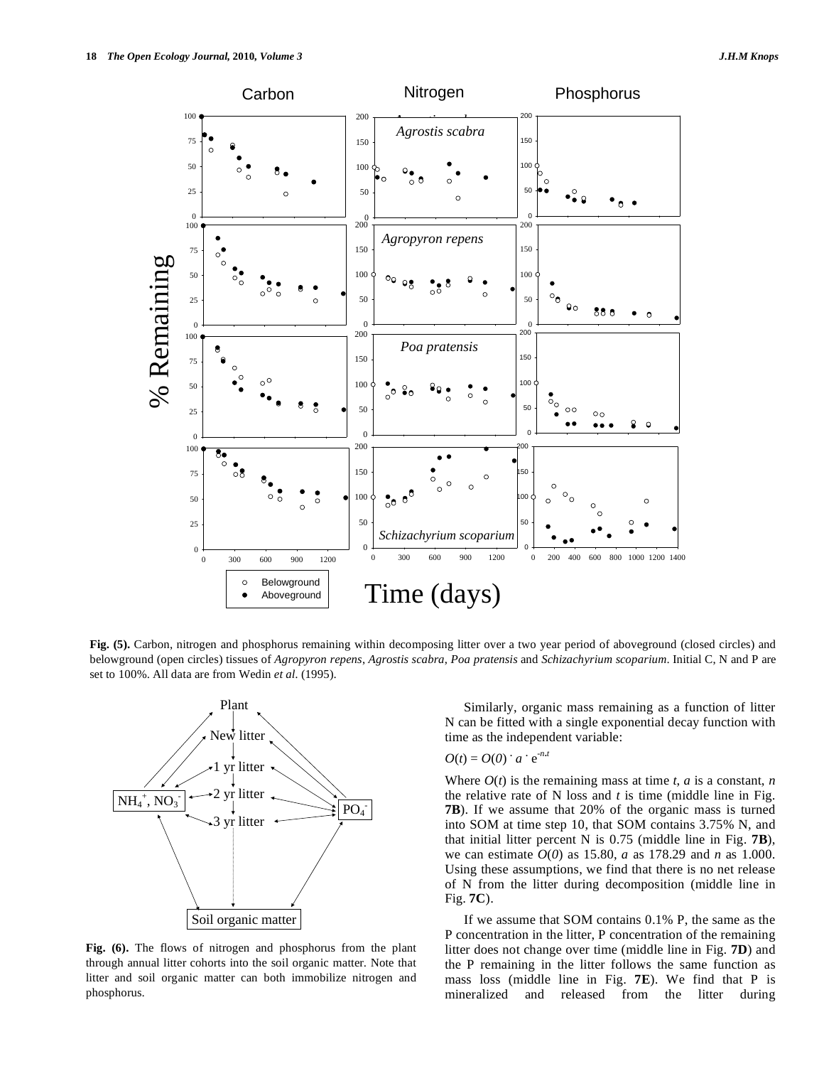

**Fig. (5).** Carbon, nitrogen and phosphorus remaining within decomposing litter over a two year period of aboveground (closed circles) and belowground (open circles) tissues of *Agropyron repens*, *Agrostis scabra*, *Poa pratensis* and *Schizachyrium scoparium*. Initial C, N and P are



**Fig. (6).** The flows of nitrogen and phosphorus from the plant through annual litter cohorts into the soil organic matter. Note that litter and soil organic matter can both immobilize nitrogen and phosphorus.

 Similarly, organic mass remaining as a function of litter N can be fitted with a single exponential decay function with time as the independent variable:

# $O(t) = O(0)$  **.**  $a \cdot e^{-n \cdot t}$

Where  $O(t)$  is the remaining mass at time *t*, *a* is a constant, *n* the relative rate of N loss and *t* is time (middle line in Fig. **7B**). If we assume that 20% of the organic mass is turned into SOM at time step 10, that SOM contains 3.75% N, and that initial litter percent N is 0.75 (middle line in Fig. **7B**), we can estimate *O*(*0*) as 15.80, *a* as 178.29 and *n* as 1.000. Using these assumptions, we find that there is no net release of N from the litter during decomposition (middle line in Fig. **7C**).

 If we assume that SOM contains 0.1% P, the same as the P concentration in the litter, P concentration of the remaining litter does not change over time (middle line in Fig. **7D**) and the P remaining in the litter follows the same function as mass loss (middle line in Fig. **7E**). We find that P is mineralized and released from the litter during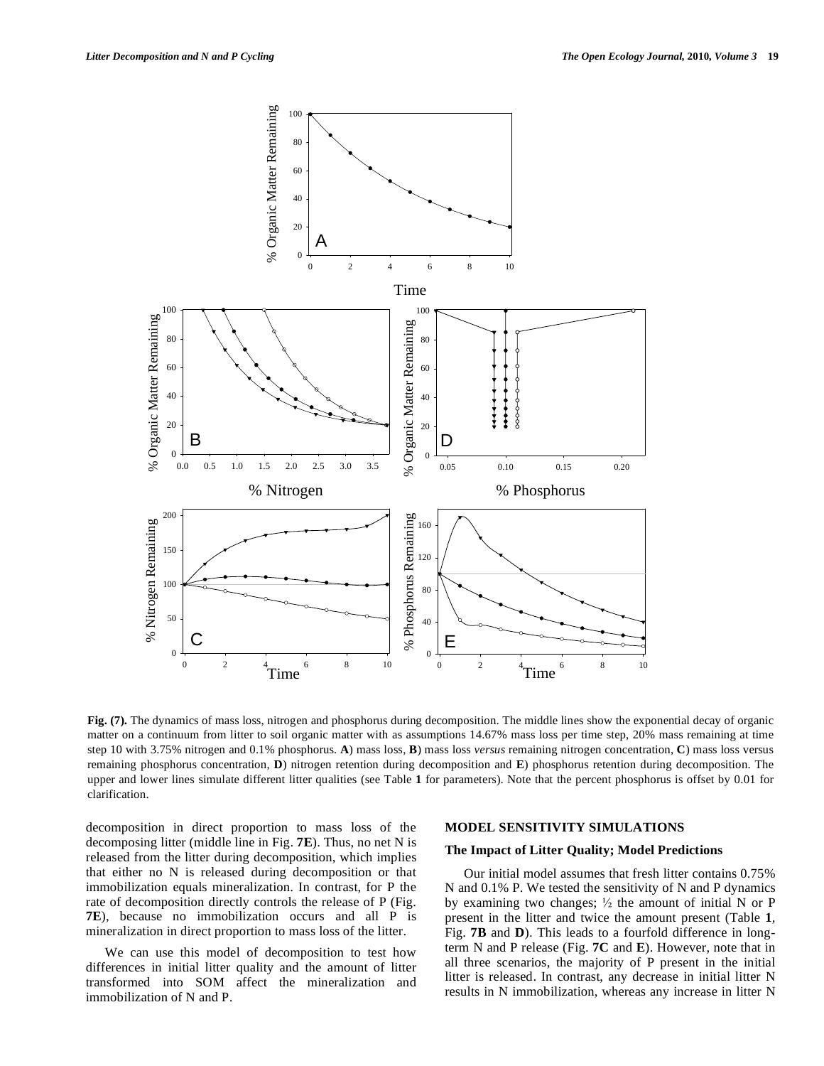

**Fig. (7).** The dynamics of mass loss, nitrogen and phosphorus during decomposition. The middle lines show the exponential decay of organic matter on a continuum from litter to soil organic matter with as assumptions 14.67% mass loss per time step, 20% mass remaining at time step 10 with 3.75% nitrogen and 0.1% phosphorus. **A**) mass loss, **B**) mass loss *versus* remaining nitrogen concentration, **C**) mass loss versus remaining phosphorus concentration, **D**) nitrogen retention during decomposition and **E**) phosphorus retention during decomposition. The upper and lower lines simulate different litter qualities (see Table **1** for parameters). Note that the percent phosphorus is offset by 0.01 for clarification.

decomposition in direct proportion to mass loss of the decomposing litter (middle line in Fig. **7E**). Thus, no net N is released from the litter during decomposition, which implies that either no N is released during decomposition or that immobilization equals mineralization. In contrast, for P the rate of decomposition directly controls the release of P (Fig. **7E**), because no immobilization occurs and all P is mineralization in direct proportion to mass loss of the litter.

 We can use this model of decomposition to test how differences in initial litter quality and the amount of litter transformed into SOM affect the mineralization and immobilization of N and P.

### **MODEL SENSITIVITY SIMULATIONS**

# **The Impact of Litter Quality; Model Predictions**

 Our initial model assumes that fresh litter contains 0.75% N and 0.1% P. We tested the sensitivity of N and P dynamics by examining two changes;  $\frac{1}{2}$  the amount of initial N or P present in the litter and twice the amount present (Table **1**, Fig. **7B** and **D**). This leads to a fourfold difference in longterm N and P release (Fig. **7C** and **E**). However, note that in all three scenarios, the majority of P present in the initial litter is released. In contrast, any decrease in initial litter N results in N immobilization, whereas any increase in litter N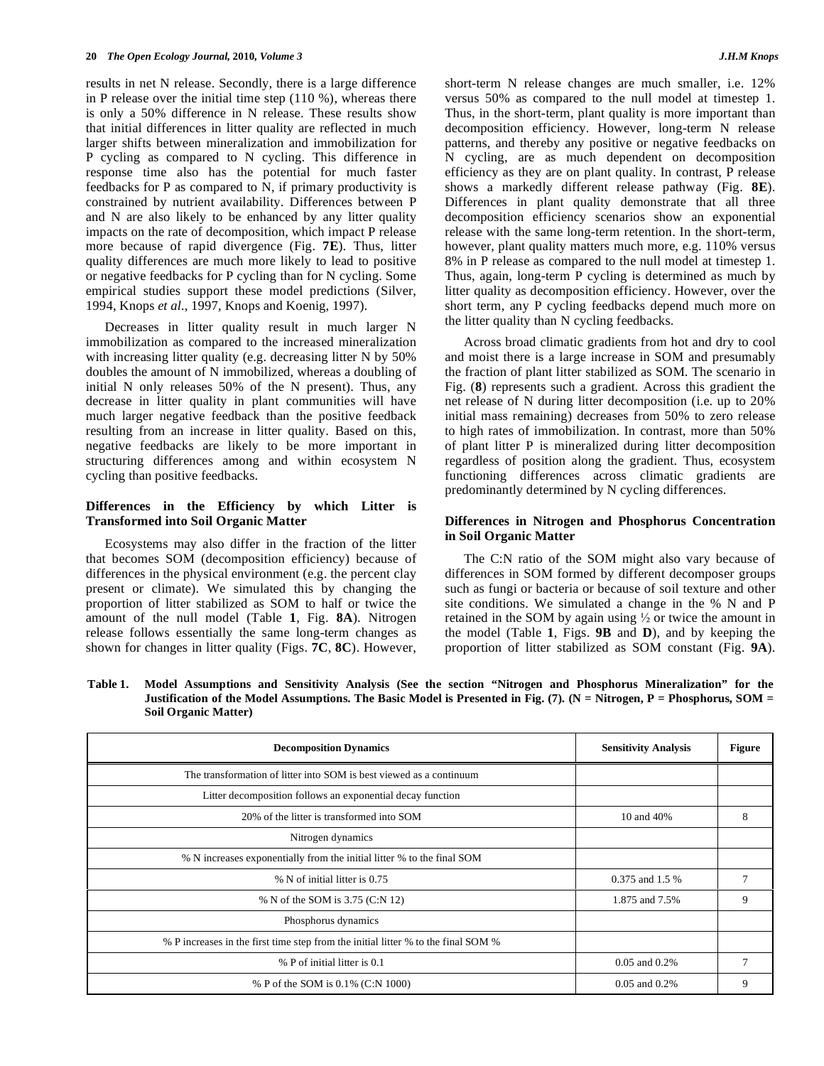results in net N release. Secondly, there is a large difference in P release over the initial time step (110 %), whereas there is only a 50% difference in N release. These results show that initial differences in litter quality are reflected in much larger shifts between mineralization and immobilization for P cycling as compared to N cycling. This difference in response time also has the potential for much faster feedbacks for P as compared to N, if primary productivity is constrained by nutrient availability. Differences between P and N are also likely to be enhanced by any litter quality impacts on the rate of decomposition, which impact P release more because of rapid divergence (Fig. **7E**). Thus, litter quality differences are much more likely to lead to positive or negative feedbacks for P cycling than for N cycling. Some empirical studies support these model predictions (Silver, 1994, Knops *et al.*, 1997, Knops and Koenig, 1997).

 Decreases in litter quality result in much larger N immobilization as compared to the increased mineralization with increasing litter quality (e.g. decreasing litter N by 50%) doubles the amount of N immobilized, whereas a doubling of initial N only releases 50% of the N present). Thus, any decrease in litter quality in plant communities will have much larger negative feedback than the positive feedback resulting from an increase in litter quality. Based on this, negative feedbacks are likely to be more important in structuring differences among and within ecosystem N cycling than positive feedbacks.

# **Differences in the Efficiency by which Litter is Transformed into Soil Organic Matter**

 Ecosystems may also differ in the fraction of the litter that becomes SOM (decomposition efficiency) because of differences in the physical environment (e.g. the percent clay present or climate). We simulated this by changing the proportion of litter stabilized as SOM to half or twice the amount of the null model (Table **1**, Fig. **8A**). Nitrogen release follows essentially the same long-term changes as shown for changes in litter quality (Figs. **7C**, **8C**). However,

short-term N release changes are much smaller, i.e. 12% versus 50% as compared to the null model at timestep 1. Thus, in the short-term, plant quality is more important than decomposition efficiency. However, long-term N release patterns, and thereby any positive or negative feedbacks on N cycling, are as much dependent on decomposition efficiency as they are on plant quality. In contrast, P release shows a markedly different release pathway (Fig. **8E**). Differences in plant quality demonstrate that all three decomposition efficiency scenarios show an exponential release with the same long-term retention. In the short-term, however, plant quality matters much more, e.g. 110% versus 8% in P release as compared to the null model at timestep 1. Thus, again, long-term P cycling is determined as much by litter quality as decomposition efficiency. However, over the short term, any P cycling feedbacks depend much more on the litter quality than N cycling feedbacks.

 Across broad climatic gradients from hot and dry to cool and moist there is a large increase in SOM and presumably the fraction of plant litter stabilized as SOM. The scenario in Fig. (**8**) represents such a gradient. Across this gradient the net release of N during litter decomposition (i.e. up to 20% initial mass remaining) decreases from 50% to zero release to high rates of immobilization. In contrast, more than 50% of plant litter P is mineralized during litter decomposition regardless of position along the gradient. Thus, ecosystem functioning differences across climatic gradients are predominantly determined by N cycling differences.

### **Differences in Nitrogen and Phosphorus Concentration in Soil Organic Matter**

 The C:N ratio of the SOM might also vary because of differences in SOM formed by different decomposer groups such as fungi or bacteria or because of soil texture and other site conditions. We simulated a change in the % N and P retained in the SOM by again using  $\frac{1}{2}$  or twice the amount in the model (Table **1**, Figs. **9B** and **D**), and by keeping the proportion of litter stabilized as SOM constant (Fig. **9A**).

**Table 1. Model Assumptions and Sensitivity Analysis (See the section "Nitrogen and Phosphorus Mineralization" for the Justification of the Model Assumptions. The Basic Model is Presented in Fig. (7). (N = Nitrogen, P = Phosphorus, SOM = Soil Organic Matter)** 

| <b>Decomposition Dynamics</b>                                                     | <b>Sensitivity Analysis</b> | <b>Figure</b> |
|-----------------------------------------------------------------------------------|-----------------------------|---------------|
| The transformation of litter into SOM is best viewed as a continuum               |                             |               |
| Litter decomposition follows an exponential decay function                        |                             |               |
| 20% of the litter is transformed into SOM                                         | 10 and 40%                  | 8             |
| Nitrogen dynamics                                                                 |                             |               |
| % N increases exponentially from the initial litter % to the final SOM            |                             |               |
| % N of initial litter is 0.75                                                     | 0.375 and 1.5 %             |               |
| % N of the SOM is 3.75 (C:N 12)                                                   | 1.875 and 7.5%              | 9             |
| Phosphorus dynamics                                                               |                             |               |
| % P increases in the first time step from the initial litter % to the final SOM % |                             |               |
| % P of initial litter is 0.1                                                      | $0.05$ and $0.2%$           |               |
| % P of the SOM is 0.1% (C:N 1000)                                                 | $0.05$ and $0.2%$           | 9             |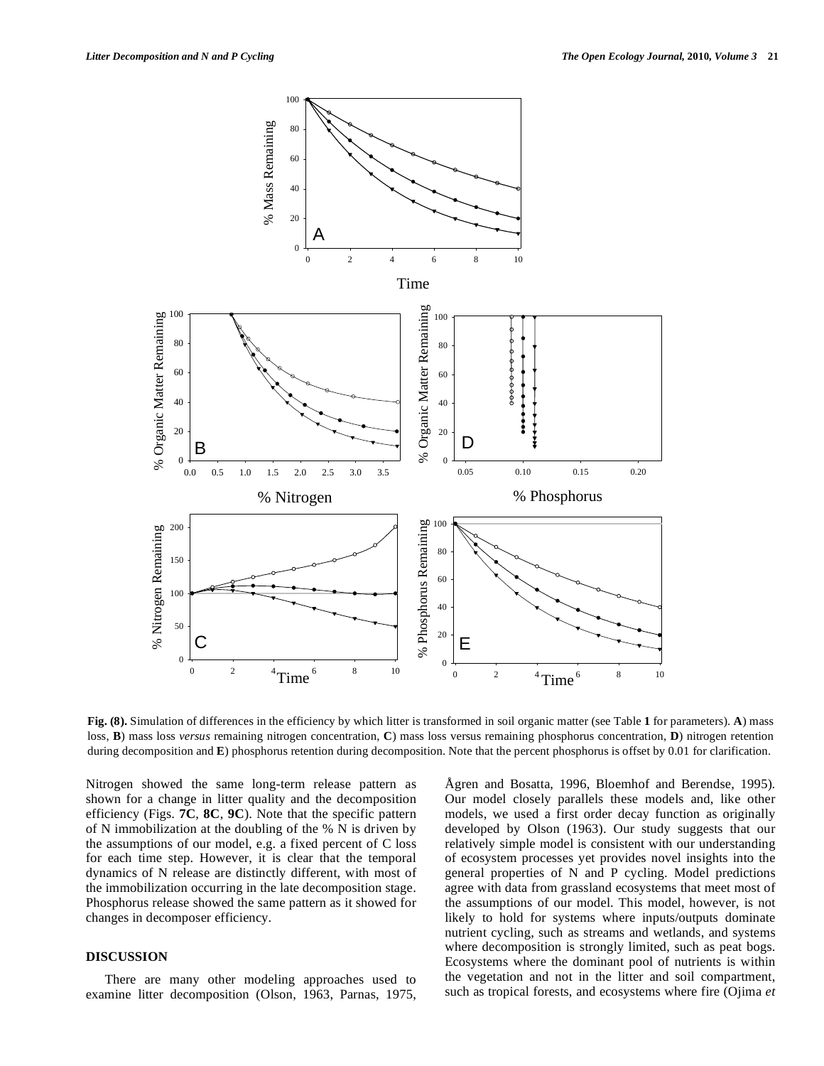

**Fig. (8).** Simulation of differences in the efficiency by which litter is transformed in soil organic matter (see Table **1** for parameters). **A**) mass loss, **B**) mass loss *versus* remaining nitrogen concentration, **C**) mass loss versus remaining phosphorus concentration, **D**) nitrogen retention during decomposition and **E**) phosphorus retention during decomposition. Note that the percent phosphorus is offset by 0.01 for clarification.

Nitrogen showed the same long-term release pattern as shown for a change in litter quality and the decomposition efficiency (Figs. **7C**, **8C**, **9C**). Note that the specific pattern of N immobilization at the doubling of the % N is driven by the assumptions of our model, e.g. a fixed percent of C loss for each time step. However, it is clear that the temporal dynamics of N release are distinctly different, with most of the immobilization occurring in the late decomposition stage. Phosphorus release showed the same pattern as it showed for changes in decomposer efficiency.

# **DISCUSSION**

 There are many other modeling approaches used to examine litter decomposition (Olson, 1963, Parnas, 1975,

Ågren and Bosatta, 1996, Bloemhof and Berendse, 1995). Our model closely parallels these models and, like other models, we used a first order decay function as originally developed by Olson (1963). Our study suggests that our relatively simple model is consistent with our understanding of ecosystem processes yet provides novel insights into the general properties of N and P cycling. Model predictions agree with data from grassland ecosystems that meet most of the assumptions of our model. This model, however, is not likely to hold for systems where inputs/outputs dominate nutrient cycling, such as streams and wetlands, and systems where decomposition is strongly limited, such as peat bogs. Ecosystems where the dominant pool of nutrients is within the vegetation and not in the litter and soil compartment, such as tropical forests, and ecosystems where fire (Ojima *et*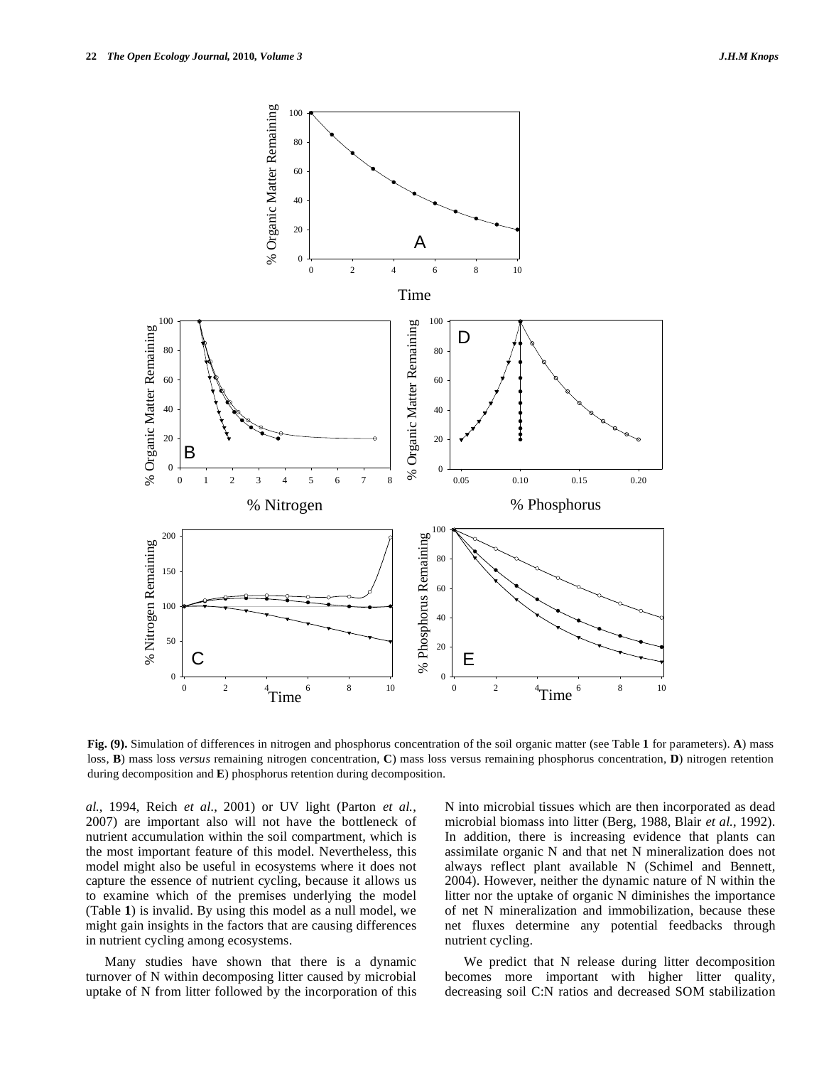



**Fig. (9).** Simulation of differences in nitrogen and phosphorus concentration of the soil organic matter (see Table **1** for parameters). **A**) mass loss, **B**) mass loss *versus* remaining nitrogen concentration, **C**) mass loss versus remaining phosphorus concentration, **D**) nitrogen retention during decomposition and **E**) phosphorus retention during decomposition.

*al.*, 1994, Reich *et al.*, 2001) or UV light (Parton *et al.*, 2007) are important also will not have the bottleneck of nutrient accumulation within the soil compartment, which is the most important feature of this model. Nevertheless, this model might also be useful in ecosystems where it does not capture the essence of nutrient cycling, because it allows us to examine which of the premises underlying the model (Table **1**) is invalid. By using this model as a null model, we might gain insights in the factors that are causing differences in nutrient cycling among ecosystems.

 Many studies have shown that there is a dynamic turnover of N within decomposing litter caused by microbial uptake of N from litter followed by the incorporation of this N into microbial tissues which are then incorporated as dead microbial biomass into litter (Berg, 1988, Blair *et al.*, 1992). In addition, there is increasing evidence that plants can assimilate organic N and that net N mineralization does not always reflect plant available N (Schimel and Bennett, 2004). However, neither the dynamic nature of N within the litter nor the uptake of organic N diminishes the importance of net N mineralization and immobilization, because these net fluxes determine any potential feedbacks through nutrient cycling.

 We predict that N release during litter decomposition becomes more important with higher litter quality, decreasing soil C:N ratios and decreased SOM stabilization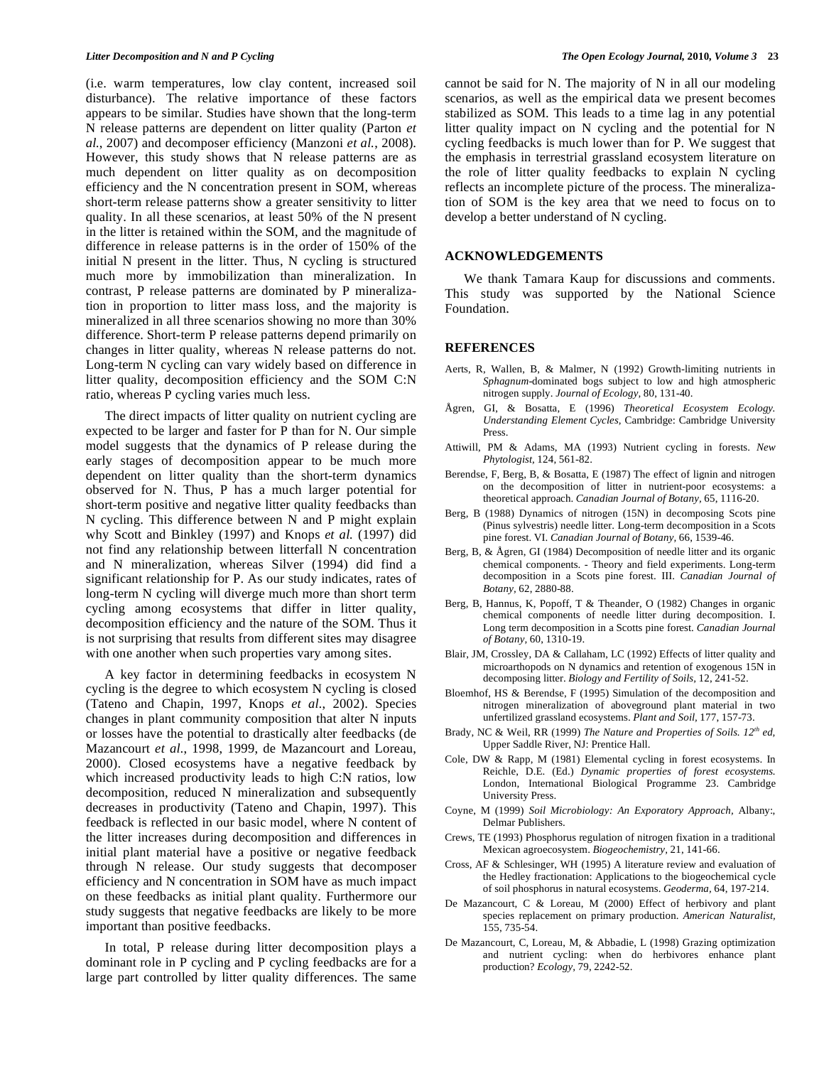(i.e. warm temperatures, low clay content, increased soil disturbance). The relative importance of these factors appears to be similar. Studies have shown that the long-term N release patterns are dependent on litter quality (Parton *et al.*, 2007) and decomposer efficiency (Manzoni *et al.*, 2008). However, this study shows that N release patterns are as much dependent on litter quality as on decomposition efficiency and the N concentration present in SOM, whereas short-term release patterns show a greater sensitivity to litter quality. In all these scenarios, at least 50% of the N present in the litter is retained within the SOM, and the magnitude of difference in release patterns is in the order of 150% of the initial N present in the litter. Thus, N cycling is structured much more by immobilization than mineralization. In contrast, P release patterns are dominated by P mineralization in proportion to litter mass loss, and the majority is mineralized in all three scenarios showing no more than 30% difference. Short-term P release patterns depend primarily on changes in litter quality, whereas N release patterns do not. Long-term N cycling can vary widely based on difference in litter quality, decomposition efficiency and the SOM C:N ratio, whereas P cycling varies much less.

 The direct impacts of litter quality on nutrient cycling are expected to be larger and faster for P than for N. Our simple model suggests that the dynamics of P release during the early stages of decomposition appear to be much more dependent on litter quality than the short-term dynamics observed for N. Thus, P has a much larger potential for short-term positive and negative litter quality feedbacks than N cycling. This difference between N and P might explain why Scott and Binkley (1997) and Knops *et al.* (1997) did not find any relationship between litterfall N concentration and N mineralization, whereas Silver (1994) did find a significant relationship for P. As our study indicates, rates of long-term N cycling will diverge much more than short term cycling among ecosystems that differ in litter quality, decomposition efficiency and the nature of the SOM. Thus it is not surprising that results from different sites may disagree with one another when such properties vary among sites.

 A key factor in determining feedbacks in ecosystem N cycling is the degree to which ecosystem N cycling is closed (Tateno and Chapin, 1997, Knops *et al.*, 2002). Species changes in plant community composition that alter N inputs or losses have the potential to drastically alter feedbacks (de Mazancourt *et al.*, 1998, 1999, de Mazancourt and Loreau, 2000). Closed ecosystems have a negative feedback by which increased productivity leads to high C:N ratios, low decomposition, reduced N mineralization and subsequently decreases in productivity (Tateno and Chapin, 1997). This feedback is reflected in our basic model, where N content of the litter increases during decomposition and differences in initial plant material have a positive or negative feedback through N release. Our study suggests that decomposer efficiency and N concentration in SOM have as much impact on these feedbacks as initial plant quality. Furthermore our study suggests that negative feedbacks are likely to be more important than positive feedbacks.

 In total, P release during litter decomposition plays a dominant role in P cycling and P cycling feedbacks are for a large part controlled by litter quality differences. The same cannot be said for N. The majority of N in all our modeling scenarios, as well as the empirical data we present becomes stabilized as SOM. This leads to a time lag in any potential litter quality impact on N cycling and the potential for N cycling feedbacks is much lower than for P. We suggest that the emphasis in terrestrial grassland ecosystem literature on the role of litter quality feedbacks to explain N cycling reflects an incomplete picture of the process. The mineralization of SOM is the key area that we need to focus on to develop a better understand of N cycling.

#### **ACKNOWLEDGEMENTS**

 We thank Tamara Kaup for discussions and comments. This study was supported by the National Science Foundation.

#### **REFERENCES**

- Aerts, R, Wallen, B, & Malmer, N (1992) Growth-limiting nutrients in *Sphagnum*-dominated bogs subject to low and high atmospheric nitrogen supply. *Journal of Ecology,* 80, 131-40.
- Ågren, GI, & Bosatta, E (1996) *Theoretical Ecosystem Ecology. Understanding Element Cycles,* Cambridge: Cambridge University Press.
- Attiwill, PM & Adams, MA (1993) Nutrient cycling in forests. *New Phytologist,* 124, 561-82.
- Berendse, F, Berg, B, & Bosatta, E (1987) The effect of lignin and nitrogen on the decomposition of litter in nutrient-poor ecosystems: a theoretical approach. *Canadian Journal of Botany,* 65, 1116-20.
- Berg, B (1988) Dynamics of nitrogen (15N) in decomposing Scots pine (Pinus sylvestris) needle litter. Long-term decomposition in a Scots pine forest. VI. *Canadian Journal of Botany,* 66, 1539-46.
- Berg, B, & Ågren, GI (1984) Decomposition of needle litter and its organic chemical components. - Theory and field experiments. Long-term decomposition in a Scots pine forest. III. *Canadian Journal of Botany,* 62, 2880-88.
- Berg, B, Hannus, K, Popoff, T & Theander, O (1982) Changes in organic chemical components of needle litter during decomposition. I. Long term decomposition in a Scotts pine forest. *Canadian Journal of Botany,* 60, 1310-19.
- Blair, JM, Crossley, DA & Callaham, LC (1992) Effects of litter quality and microarthopods on N dynamics and retention of exogenous 15N in decomposing litter. *Biology and Fertility of Soils,* 12, 241-52.
- Bloemhof, HS & Berendse, F (1995) Simulation of the decomposition and nitrogen mineralization of aboveground plant material in two unfertilized grassland ecosystems. *Plant and Soil,* 177, 157-73.
- Brady, NC & Weil, RR (1999) *The Nature and Properties of Soils. 12th ed,*  Upper Saddle River, NJ: Prentice Hall.
- Cole, DW & Rapp, M (1981) Elemental cycling in forest ecosystems. In Reichle, D.E. (Ed.) *Dynamic properties of forest ecosystems.* London, International Biological Programme 23. Cambridge University Press.
- Coyne, M (1999) *Soil Microbiology: An Exporatory Approach,* Albany:, Delmar Publishers.
- Crews, TE (1993) Phosphorus regulation of nitrogen fixation in a traditional Mexican agroecosystem. *Biogeochemistry,* 21, 141-66.
- Cross, AF & Schlesinger, WH (1995) A literature review and evaluation of the Hedley fractionation: Applications to the biogeochemical cycle of soil phosphorus in natural ecosystems. *Geoderma,* 64, 197-214.
- De Mazancourt, C & Loreau, M (2000) Effect of herbivory and plant species replacement on primary production. *American Naturalist,* 155, 735-54.
- De Mazancourt, C, Loreau, M, & Abbadie, L (1998) Grazing optimization and nutrient cycling: when do herbivores enhance plant production? *Ecology,* 79, 2242-52.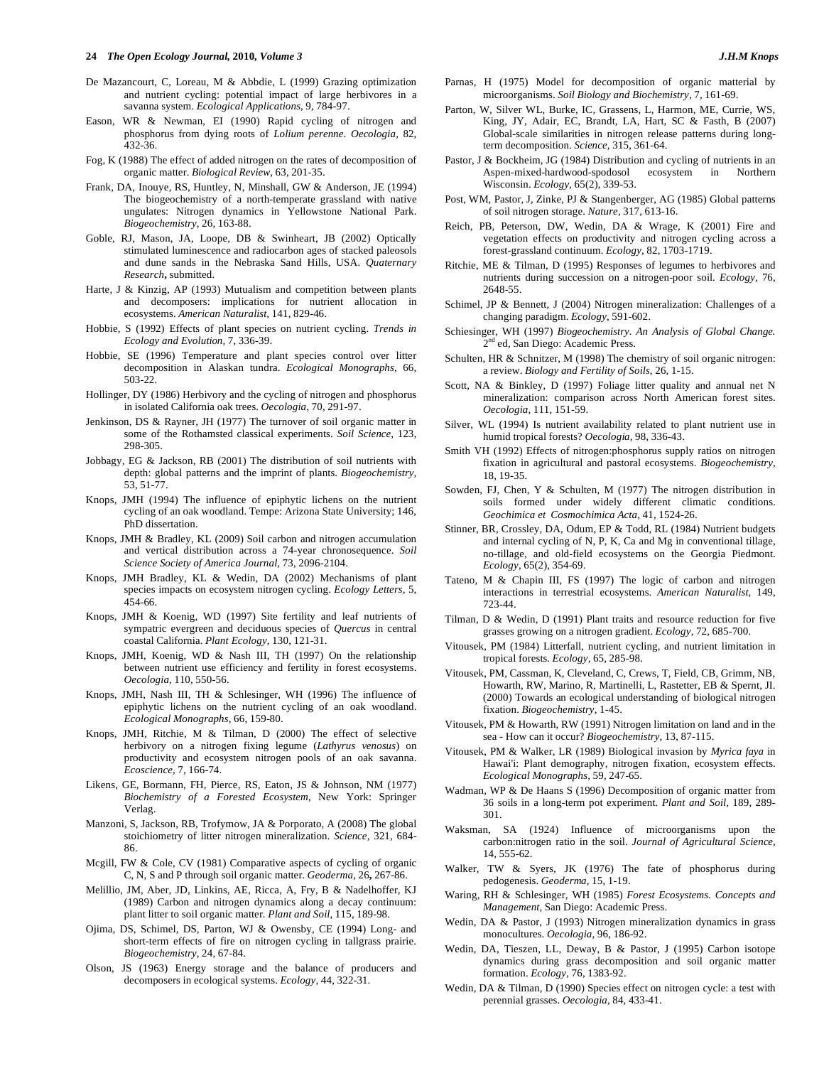- De Mazancourt, C, Loreau, M & Abbdie, L (1999) Grazing optimization and nutrient cycling: potential impact of large herbivores in a savanna system. *Ecological Applications,* 9, 784-97.
- Eason, WR & Newman, EI (1990) Rapid cycling of nitrogen and phosphorus from dying roots of *Lolium perenne*. *Oecologia,* 82, 432-36.
- Fog, K (1988) The effect of added nitrogen on the rates of decomposition of organic matter. *Biological Review,* 63, 201-35.
- Frank, DA, Inouye, RS, Huntley, N, Minshall, GW & Anderson, JE (1994) The biogeochemistry of a north-temperate grassland with native ungulates: Nitrogen dynamics in Yellowstone National Park. *Biogeochemistry,* 26, 163-88.
- Goble, RJ, Mason, JA, Loope, DB & Swinheart, JB (2002) Optically stimulated luminescence and radiocarbon ages of stacked paleosols and dune sands in the Nebraska Sand Hills, USA. *Quaternary Research***,** submitted.
- Harte, J & Kinzig, AP (1993) Mutualism and competition between plants and decomposers: implications for nutrient allocation in ecosystems. *American Naturalist,* 141, 829-46.
- Hobbie, S (1992) Effects of plant species on nutrient cycling. *Trends in Ecology and Evolution,* 7, 336-39.
- Hobbie, SE (1996) Temperature and plant species control over litter decomposition in Alaskan tundra. *Ecological Monographs,* 66, 503-22.
- Hollinger, DY (1986) Herbivory and the cycling of nitrogen and phosphorus in isolated California oak trees. *Oecologia,* 70, 291-97.
- Jenkinson, DS & Rayner, JH (1977) The turnover of soil organic matter in some of the Rothamsted classical experiments. *Soil Science,* 123, 298-305.
- Jobbagy, EG & Jackson, RB (2001) The distribution of soil nutrients with depth: global patterns and the imprint of plants. *Biogeochemistry,* 53, 51-77.
- Knops, JMH (1994) The influence of epiphytic lichens on the nutrient cycling of an oak woodland. Tempe: Arizona State University; 146, PhD dissertation.
- Knops, JMH & Bradley, KL (2009) Soil carbon and nitrogen accumulation and vertical distribution across a 74-year chronosequence. *Soil Science Society of America Journal,* 73, 2096-2104.
- Knops, JMH Bradley, KL & Wedin, DA (2002) Mechanisms of plant species impacts on ecosystem nitrogen cycling. *Ecology Letters,* 5, 454-66.
- Knops, JMH & Koenig, WD (1997) Site fertility and leaf nutrients of sympatric evergreen and deciduous species of *Quercus* in central coastal California. *Plant Ecology,* 130, 121-31.
- Knops, JMH, Koenig, WD & Nash III, TH (1997) On the relationship between nutrient use efficiency and fertility in forest ecosystems. *Oecologia,* 110, 550-56.
- Knops, JMH, Nash III, TH & Schlesinger, WH (1996) The influence of epiphytic lichens on the nutrient cycling of an oak woodland. *Ecological Monographs,* 66, 159-80.
- Knops, JMH, Ritchie, M & Tilman, D (2000) The effect of selective herbivory on a nitrogen fixing legume (*Lathyrus venosus*) on productivity and ecosystem nitrogen pools of an oak savanna. *Ecoscience,* 7, 166-74.
- Likens, GE, Bormann, FH, Pierce, RS, Eaton, JS & Johnson, NM (1977) *Biochemistry of a Forested Ecosystem,* New York: Springer Verlag.
- Manzoni, S, Jackson, RB, Trofymow, JA & Porporato, A (2008) The global stoichiometry of litter nitrogen mineralization. *Science,* 321, 684- 86.
- Mcgill, FW & Cole, CV (1981) Comparative aspects of cycling of organic C, N, S and P through soil organic matter. *Geoderma,* 26**,** 267-86.
- Melillio, JM, Aber, JD, Linkins, AE, Ricca, A, Fry, B & Nadelhoffer, KJ (1989) Carbon and nitrogen dynamics along a decay continuum: plant litter to soil organic matter. *Plant and Soil,* 115, 189-98.
- Ojima, DS, Schimel, DS, Parton, WJ & Owensby, CE (1994) Long- and short-term effects of fire on nitrogen cycling in tallgrass prairie. *Biogeochemistry,* 24, 67-84.
- Olson, JS (1963) Energy storage and the balance of producers and decomposers in ecological systems. *Ecology,* 44, 322-31.
- Parnas, H (1975) Model for decomposition of organic matterial by microorganisms. *Soil Biology and Biochemistry,* 7, 161-69.
- Parton, W, Silver WL, Burke, IC, Grassens, L, Harmon, ME, Currie, WS, King, JY, Adair, EC, Brandt, LA, Hart, SC & Fasth, B (2007) Global-scale similarities in nitrogen release patterns during longterm decomposition. *Science,* 315, 361-64.
- Pastor, J & Bockheim, JG (1984) Distribution and cycling of nutrients in an Aspen-mixed-hardwood-spodosol ecosystem in Northern Wisconsin. *Ecology,* 65(2), 339-53.
- Post, WM, Pastor, J, Zinke, PJ & Stangenberger, AG (1985) Global patterns of soil nitrogen storage. *Nature,* 317, 613-16.
- Reich, PB, Peterson, DW, Wedin, DA & Wrage, K (2001) Fire and vegetation effects on productivity and nitrogen cycling across a forest-grassland continuum. *Ecology,* 82, 1703-1719.
- Ritchie, ME & Tilman, D (1995) Responses of legumes to herbivores and nutrients during succession on a nitrogen-poor soil. *Ecology,* 76, 2648-55.
- Schimel, JP & Bennett, J (2004) Nitrogen mineralization: Challenges of a changing paradigm. *Ecology*, 591-602.
- Schiesinger, WH (1997) *Biogeochemistry. An Analysis of Global Change.*  2<sup>nd</sup> ed, San Diego: Academic Press.
- Schulten, HR & Schnitzer, M (1998) The chemistry of soil organic nitrogen: a review. *Biology and Fertility of Soils,* 26, 1-15.
- Scott, NA & Binkley, D (1997) Foliage litter quality and annual net N mineralization: comparison across North American forest sites. *Oecologia,* 111, 151-59.
- Silver, WL (1994) Is nutrient availability related to plant nutrient use in humid tropical forests? *Oecologia,* 98, 336-43.
- Smith VH (1992) Effects of nitrogen:phosphorus supply ratios on nitrogen fixation in agricultural and pastoral ecosystems. *Biogeochemistry,* 18, 19-35.
- Sowden, FJ, Chen, Y & Schulten, M (1977) The nitrogen distribution in soils formed under widely different climatic conditions. *Geochimica et Cosmochimica Acta,* 41, 1524-26.
- Stinner, BR, Crossley, DA, Odum, EP & Todd, RL (1984) Nutrient budgets and internal cycling of N, P, K, Ca and Mg in conventional tillage, no-tillage, and old-field ecosystems on the Georgia Piedmont. *Ecology,* 65(2), 354-69.
- Tateno, M & Chapin III, FS (1997) The logic of carbon and nitrogen interactions in terrestrial ecosystems. *American Naturalist,* 149, 723-44.
- Tilman, D & Wedin, D (1991) Plant traits and resource reduction for five grasses growing on a nitrogen gradient. *Ecology,* 72, 685-700.
- Vitousek, PM (1984) Litterfall, nutrient cycling, and nutrient limitation in tropical forests. *Ecology,* 65, 285-98.
- Vitousek, PM, Cassman, K, Cleveland, C, Crews, T, Field, CB, Grimm, NB, Howarth, RW, Marino, R, Martinelli, L, Rastetter, EB & Spernt, JI. (2000) Towards an ecological understanding of biological nitrogen fixation. *Biogeochemistry*, 1-45.
- Vitousek, PM & Howarth, RW (1991) Nitrogen limitation on land and in the sea - How can it occur? *Biogeochemistry,* 13, 87-115.
- Vitousek, PM & Walker, LR (1989) Biological invasion by *Myrica faya* in Hawai'i: Plant demography, nitrogen fixation, ecosystem effects. *Ecological Monographs,* 59, 247-65.
- Wadman, WP & De Haans S (1996) Decomposition of organic matter from 36 soils in a long-term pot experiment. *Plant and Soil,* 189, 289- 301.
- Waksman, SA (1924) Influence of microorganisms upon the carbon:nitrogen ratio in the soil. *Journal of Agricultural Science,* 14, 555-62.
- Walker, TW & Syers, JK (1976) The fate of phosphorus during pedogenesis. *Geoderma,* 15, 1-19.
- Waring, RH & Schlesinger, WH (1985) *Forest Ecosystems. Concepts and Management,* San Diego: Academic Press.
- Wedin, DA & Pastor, J (1993) Nitrogen mineralization dynamics in grass monocultures. *Oecologia,* 96, 186-92.
- Wedin, DA, Tieszen, LL, Deway, B & Pastor, J (1995) Carbon isotope dynamics during grass decomposition and soil organic matter formation. *Ecology,* 76, 1383-92.
- Wedin, DA & Tilman, D (1990) Species effect on nitrogen cycle: a test with perennial grasses. *Oecologia,* 84, 433-41.